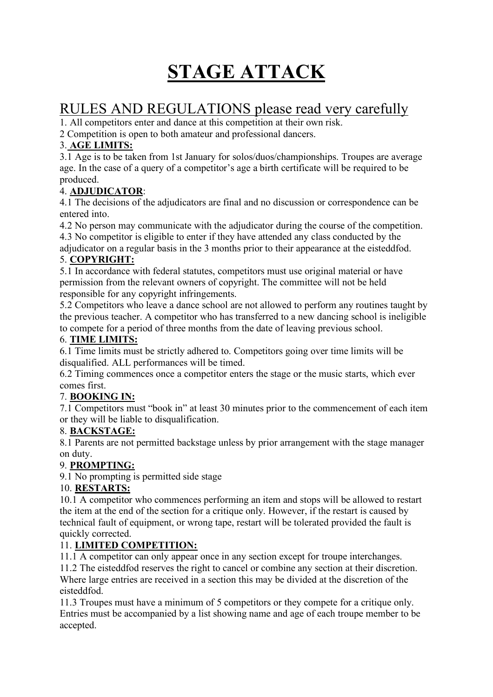# **STAGE ATTACK**

# RULES AND REGULATIONS please read very carefully

1. All competitors enter and dance at this competition at their own risk.

2 Competition is open to both amateur and professional dancers.

#### 3. **AGE LIMITS:**

3.1 Age is to be taken from 1st January for solos/duos/championships. Troupes are average age. In the case of a query of a competitor's age a birth certificate will be required to be produced.

#### 4. **ADJUDICATOR**:

4.1 The decisions of the adjudicators are final and no discussion or correspondence can be entered into.

4.2 No person may communicate with the adjudicator during the course of the competition. 4.3 No competitor is eligible to enter if they have attended any class conducted by the

adjudicator on a regular basis in the 3 months prior to their appearance at the eisteddfod.

#### 5. **COPYRIGHT:**

5.1 In accordance with federal statutes, competitors must use original material or have permission from the relevant owners of copyright. The committee will not be held responsible for any copyright infringements.

5.2 Competitors who leave a dance school are not allowed to perform any routines taught by the previous teacher. A competitor who has transferred to a new dancing school is ineligible to compete for a period of three months from the date of leaving previous school.

#### 6. **TIME LIMITS:**

6.1 Time limits must be strictly adhered to. Competitors going over time limits will be disqualified. ALL performances will be timed.

6.2 Timing commences once a competitor enters the stage or the music starts, which ever comes first.

#### 7. **BOOKING IN:**

7.1 Competitors must "book in" at least 30 minutes prior to the commencement of each item or they will be liable to disqualification.

#### 8. **BACKSTAGE:**

8.1 Parents are not permitted backstage unless by prior arrangement with the stage manager on duty.

#### 9. **PROMPTING:**

9.1 No prompting is permitted side stage

#### 10. **RESTARTS:**

10.1 A competitor who commences performing an item and stops will be allowed to restart the item at the end of the section for a critique only. However, if the restart is caused by technical fault of equipment, or wrong tape, restart will be tolerated provided the fault is quickly corrected.

#### 11. **LIMITED COMPETITION:**

11.1 A competitor can only appear once in any section except for troupe interchanges.

11.2 The eisteddfod reserves the right to cancel or combine any section at their discretion. Where large entries are received in a section this may be divided at the discretion of the eisteddfod.

11.3 Troupes must have a minimum of 5 competitors or they compete for a critique only. Entries must be accompanied by a list showing name and age of each troupe member to be accepted.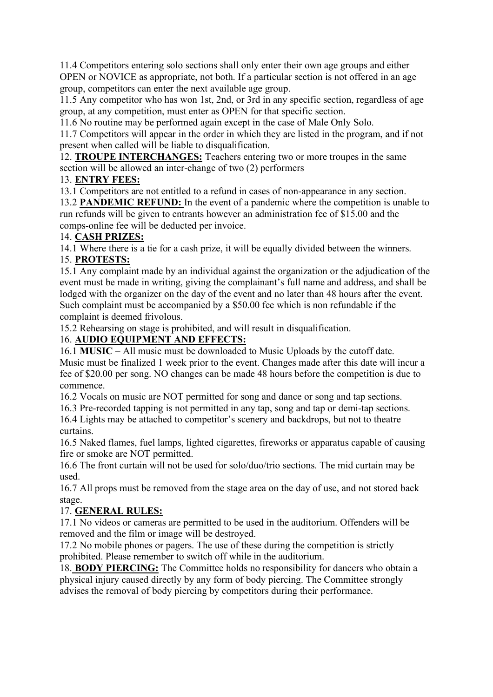11.4 Competitors entering solo sections shall only enter their own age groups and either OPEN or NOVICE as appropriate, not both. If a particular section is not offered in an age group, competitors can enter the next available age group.

11.5 Any competitor who has won 1st, 2nd, or 3rd in any specific section, regardless of age group, at any competition, must enter as OPEN for that specific section.

11.6 No routine may be performed again except in the case of Male Only Solo.

11.7 Competitors will appear in the order in which they are listed in the program, and if not present when called will be liable to disqualification.

12. **TROUPE INTERCHANGES:** Teachers entering two or more troupes in the same section will be allowed an inter-change of two (2) performers

#### 13. **ENTRY FEES:**

13.1 Competitors are not entitled to a refund in cases of non-appearance in any section.

13.2 **PANDEMIC REFUND:** In the event of a pandemic where the competition is unable to run refunds will be given to entrants however an administration fee of \$15.00 and the comps-online fee will be deducted per invoice.

#### 14. **CASH PRIZES:**

14.1 Where there is a tie for a cash prize, it will be equally divided between the winners.

#### 15. **PROTESTS:**

15.1 Any complaint made by an individual against the organization or the adjudication of the event must be made in writing, giving the complainant's full name and address, and shall be lodged with the organizer on the day of the event and no later than 48 hours after the event. Such complaint must be accompanied by a \$50.00 fee which is non refundable if the complaint is deemed frivolous.

15.2 Rehearsing on stage is prohibited, and will result in disqualification.

#### 16. **AUDIO EQUIPMENT AND EFFECTS:**

16.1 **MUSIC –** All music must be downloaded to Music Uploads by the cutoff date. Music must be finalized 1 week prior to the event. Changes made after this date will incur a fee of \$20.00 per song. NO changes can be made 48 hours before the competition is due to commence.

16.2 Vocals on music are NOT permitted for song and dance or song and tap sections.

16.3 Pre-recorded tapping is not permitted in any tap, song and tap or demi-tap sections.

16.4 Lights may be attached to competitor's scenery and backdrops, but not to theatre curtains.

16.5 Naked flames, fuel lamps, lighted cigarettes, fireworks or apparatus capable of causing fire or smoke are NOT permitted.

16.6 The front curtain will not be used for solo/duo/trio sections. The mid curtain may be used.

16.7 All props must be removed from the stage area on the day of use, and not stored back stage.

#### 17. **GENERAL RULES:**

17.1 No videos or cameras are permitted to be used in the auditorium. Offenders will be removed and the film or image will be destroyed.

17.2 No mobile phones or pagers. The use of these during the competition is strictly prohibited. Please remember to switch off while in the auditorium.

18. **BODY PIERCING:** The Committee holds no responsibility for dancers who obtain a physical injury caused directly by any form of body piercing. The Committee strongly advises the removal of body piercing by competitors during their performance.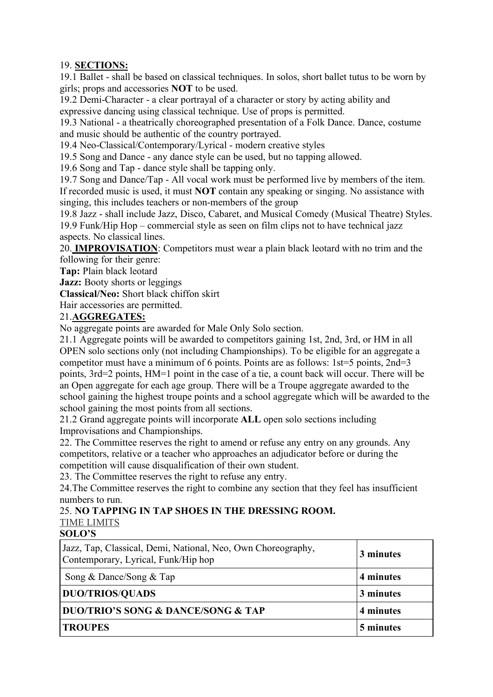#### 19. **SECTIONS:**

19.1 Ballet - shall be based on classical techniques. In solos, short ballet tutus to be worn by girls; props and accessories **NOT** to be used.

19.2 Demi-Character - a clear portrayal of a character or story by acting ability and expressive dancing using classical technique. Use of props is permitted.

19.3 National - a theatrically choreographed presentation of a Folk Dance. Dance, costume and music should be authentic of the country portrayed.

19.4 Neo-Classical/Contemporary/Lyrical - modern creative styles

19.5 Song and Dance - any dance style can be used, but no tapping allowed.

19.6 Song and Tap - dance style shall be tapping only.

19.7 Song and Dance/Tap - All vocal work must be performed live by members of the item. If recorded music is used, it must **NOT** contain any speaking or singing. No assistance with singing, this includes teachers or non-members of the group

19.8 Jazz - shall include Jazz, Disco, Cabaret, and Musical Comedy (Musical Theatre) Styles. 19.9 Funk/Hip Hop – commercial style as seen on film clips not to have technical jazz aspects. No classical lines.

20. **IMPROVISATION**: Competitors must wear a plain black leotard with no trim and the following for their genre:

**Tap:** Plain black leotard

**Jazz:** Booty shorts or leggings

**Classical/Neo:** Short black chiffon skirt

Hair accessories are permitted.

#### 21.**AGGREGATES:**

No aggregate points are awarded for Male Only Solo section.

21.1 Aggregate points will be awarded to competitors gaining 1st, 2nd, 3rd, or HM in all OPEN solo sections only (not including Championships). To be eligible for an aggregate a competitor must have a minimum of 6 points. Points are as follows: 1st=5 points, 2nd=3 points, 3rd=2 points, HM=1 point in the case of a tie, a count back will occur. There will be an Open aggregate for each age group. There will be a Troupe aggregate awarded to the school gaining the highest troupe points and a school aggregate which will be awarded to the school gaining the most points from all sections.

21.2 Grand aggregate points will incorporate **ALL** open solo sections including Improvisations and Championships.

22. The Committee reserves the right to amend or refuse any entry on any grounds. Any competitors, relative or a teacher who approaches an adjudicator before or during the competition will cause disqualification of their own student.

23. The Committee reserves the right to refuse any entry.

24.The Committee reserves the right to combine any section that they feel has insufficient numbers to run.

### 25. **NO TAPPING IN TAP SHOES IN THE DRESSING ROOM.**

## TIME LIMITS

#### **SOLO'S**

| Jazz, Tap, Classical, Demi, National, Neo, Own Choreography,<br>Contemporary, Lyrical, Funk/Hip hop | 3 minutes |
|-----------------------------------------------------------------------------------------------------|-----------|
| Song & Dance/Song & Tap                                                                             | 4 minutes |
| <b>DUO/TRIOS/QUADS</b>                                                                              | 3 minutes |
| <b>DUO/TRIO'S SONG &amp; DANCE/SONG &amp; TAP</b>                                                   | 4 minutes |
| <b>TROUPES</b>                                                                                      | 5 minutes |